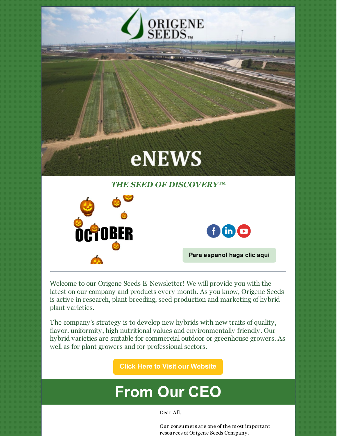

Welcome to our Origene Seeds E-Newsletter! We will provide you with the latest on our company and products every month. As you know, Origene Seeds is active in research, plant breeding, seed production and marketing of hybrid plant varieties.

The company's strategy is to develop new hybrids with new traits of quality, flavor, uniformity, high nutritional values and environmentally friendly. Our hybrid varieties are suitable for commercial outdoor or greenhouse growers. As well as for plant growers and for professional sectors.

**Click Here to Visit our [Website](http://origeneseeds.com)**

# **From Our CEO**

Dear All,

Our consumers are one of the most important resources of Origene Seeds Company .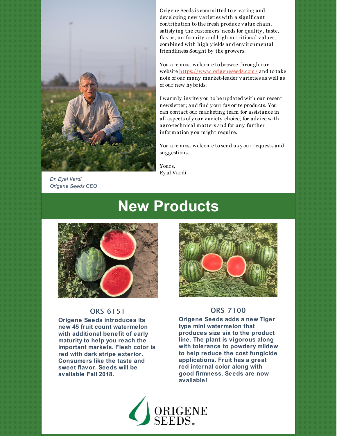

*Dr. Eyal Vardi Origene Seeds CEO*

Origene Seeds is committed to creating and dev eloping new v arieties with a significant contribution to the fresh produce v alue chain, satisfy ing the customers' needs for quality , taste, flav or, uniformity and high nutritional v alues, combined with high y ields and env ironmental friendliness Sought by the growers.

You are most welcome to browse through our website <https://www.origeneseeds.com/> and to take note of our many market-leader v arieties as well as of our new hy brids.

I warmly inv ite y ou to be updated with our recent newsletter; and find y our fav orite products. You can contact our marketing team for assistance in all aspects of y our v ariety choice, for adv ice with agro-technical matters and for any further information y ou might require.

You are most welcome to send us y our requests and suggestions.

Yours, Ey al Vardi

# **New Products**



#### ORS 6151

**Origene Seeds introduces its new 45 fruit count watermelon with additional benefit of early maturity to help you reach the important markets. Flesh color is red with dark stripe exterior. Consumers like the taste and sweet flavor. Seeds will be available Fall 2018.**



#### ORS 7100

**Origene Seeds adds a new Tiger type mini watermelon that produces size six to the product line. The plant is vigorous along with tolerance to powdery mildew to help reduce the cost fungicide applications. Fruit has a great red internal color along with good firmness. Seeds are now available!**

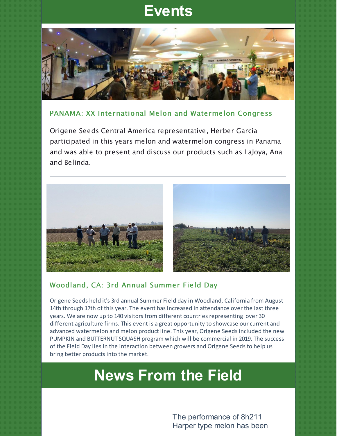### **Events**



### PANAMA: XX International Melon and Watermelon Congress

Origene Seeds Central America representative, Herber Garcia participated in this years melon and watermelon congress in Panama and was able to present and discuss our products such as LaJoya, Ana and Belinda.



### Woodland, CA: 3rd Annual Summer Field Day

Origene Seeds held it's 3rd annual Summer Field day in Woodland, California from August 14th through 17th of this year. The event has increased in attendance over the last three years. We are now up to 140 visitors from different countries representing over 30 different agriculture firms. This event is a great opportunity to showcase our current and advanced watermelon and melon product line. This year, Origene Seeds included the new PUMPKIN and BUTTERNUT SQUASH program which will be commercial in 2019. The success of the Field Day lies in the interaction between growers and Origene Seeds to help us bring better products into the market.

## **News From the Field**

The performance of 8h211 Harper type melon has been